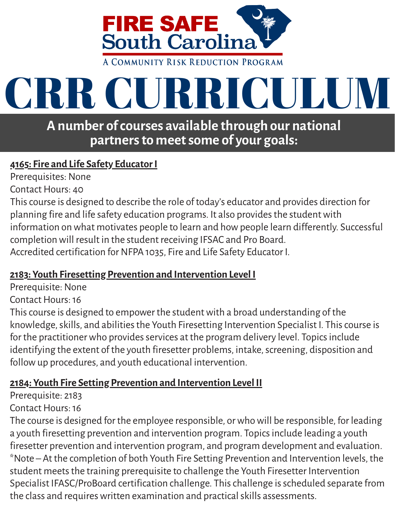

# CRR CURRICULUM

**A number ofcourses available through our national partnersto meetsome of your goals:**

### **4165: Fire and Life Safety EducatorI**

Prerequisites: None

Contact Hours: 40

Thiscourse is designed to describe the role of today's educator and provides direction for planning fire and life safety education programs. It also provides the student with information on what motivates people to learn and how people learn differently. Successful completion will result in the student receiving IFSAC and Pro Board. Accredited certification for NFPA 1035, Fire and Life Safety Educator I.

### **2183: Youth Firesetting Prevention and Intervention Level I**

Prerequisite: None

Contact Hours: 16

This course is designed to empower the student with a broad understanding of the knowledge, skills, and abilities the Youth Firesetting Intervention Specialist I. This course is for the practitioner who provides services at the program delivery level. Topics include identifying the extent of the youth firesetter problems, intake, screening, disposition and followup procedures, and youth educational intervention.

### **2184: Youth Fire Setting Prevention and Intervention Level II**

Prerequisite: 2183

### Contact Hours: 16

The course is designed for the employee responsible, or who will be responsible, for leading a youth firesetting prevention and intervention program. Topicsinclude leading a youth firesetter prevention and intervention program, and program development and evaluation. \*Note – At the completion of both Youth Fire Setting Prevention and Intervention levels, the student meets the training prerequisite to challenge the Youth Firesetter Intervention Specialist IFASC/ProBoard certification challenge. Thischallenge isscheduled separate from the class and requires written examination and practical skills assessments.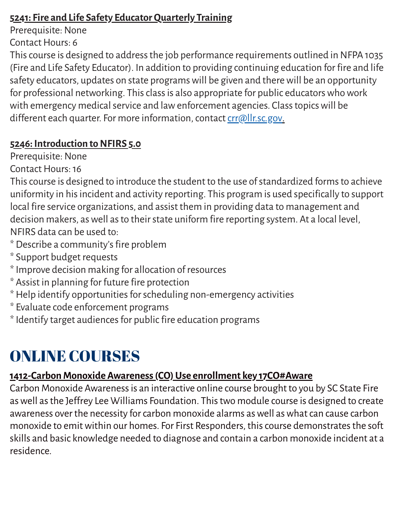### **5241: Fire and Life Safety EducatorQuarterly Training**

Prerequisite: None

Contact Hours: 6

This course is designed to address the job performance requirements outlined in NFPA 1035 (Fire and Life Safety Educator). In addition to providing continuing education for fire and life safety educators, updates on state programs will be given and there will be an opportunity for professional networking. This class is also appropriate for public educators who work with emergency medical service and law enforcement agencies. Class topics will be different each quarter. For more information, contact [crr@llr.sc.gov.](mailto:crr@llr.sc.gov)

### **5246: Introduction to NFIRS 5.0**

Prerequisite: None

Contact Hours: 16

This course is designed to introduce the student to the use of standardized forms to achieve uniformity in hisincident and activity reporting. This program is used specifically to support local fire service organizations, and assist them in providing data to management and decision makers, as well as to their state uniform fire reporting system. At a local level, NFIRS data can be used to:

- \* Describe a community'sfire problem
- \* Support budget requests
- \*Improve decision making for allocation of resources
- \* Assist in planning for future fire protection
- \* Help identify opportunities for scheduling non-emergency activities
- \* Evaluate code enforcement programs
- \* Identify target audiences for public fire education programs

# ONLINE COURSES

# **1412-CarbonMonoxide Awareness(CO)Use enrollment key 17CO#Aware**

Carbon Monoxide Awarenessis an interactive online course brought to you by SC State Fire aswell asthe Jeffrey Lee Williams Foundation. Thistwo module course is designed to create awareness over the necessity for carbon monoxide alarms as well as what can cause carbon monoxide to emit within our homes. For First Responders, this course demonstrates the soft skills and basic knowledge needed to diagnose and contain a carbon monoxide incident at a residence.